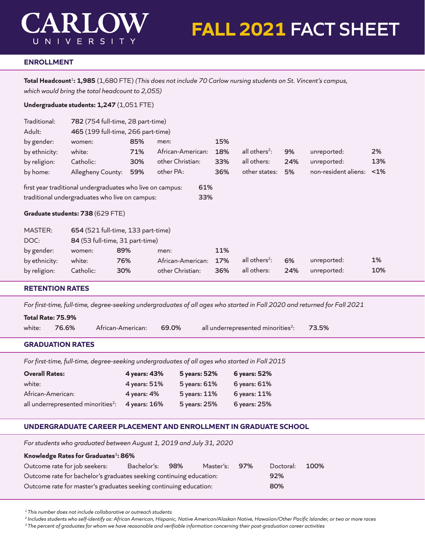# CARLOW UNIVERSITY

# **FALL 2021 FACT SHEET**

## **ENROLLMENT**

**Total Headcount**1**: 1,985** (1,680 FTE) *(This does not include 70 Carlow nursing students on St. Vincent's campus, which would bring the total headcount to 2,055)* 

#### **Undergraduate students: 1,247** (1,051 FTE)

| Traditional:                                                     | 782 (754 full-time, 28 part-time)  |     |                   |     |                           |     |                      |        |
|------------------------------------------------------------------|------------------------------------|-----|-------------------|-----|---------------------------|-----|----------------------|--------|
| Adult:                                                           | 465 (199 full-time, 266 part-time) |     |                   |     |                           |     |                      |        |
| by gender:                                                       | women:                             | 85% | men:              | 15% |                           |     |                      |        |
| by ethnicity:                                                    | white:                             | 71% | African-American: | 18% | all others <sup>2</sup> : | 9%  | unreported:          | 2%     |
| by religion:                                                     | Catholic:                          | 30% | other Christian:  | 33% | all others:               | 24% | unreported:          | 13%    |
| by home:                                                         | Allegheny County:                  | 59% | other PA:         | 36% | other states:             | 5%  | non-resident aliens: | $<$ 1% |
| first year traditional undergraduates who live on campus:<br>61% |                                    |     |                   |     |                           |     |                      |        |
| traditional undergraduates who live on campus:<br>33%            |                                    |     |                   |     |                           |     |                      |        |
|                                                                  | Graduate students: 738 (629 FTE)   |     |                   |     |                           |     |                      |        |

| MASTER:       | 654 (521 full-time, 133 part-time) |     |                   |     |                           |     |             |     |
|---------------|------------------------------------|-----|-------------------|-----|---------------------------|-----|-------------|-----|
| DOC:          | 84 (53 full-time, 31 part-time)    |     |                   |     |                           |     |             |     |
| by gender:    | women:                             | 89% | men:              | 11% |                           |     |             |     |
| by ethnicity: | white:                             | 76% | African-American: | 17% | all others <sup>2</sup> : | 6%  | unreported: | 1%  |
| by religion:  | Catholic:                          | 30% | other Christian:  | 36% | all others:               | 24% | unreported: | 10% |

# **RETENTION RATES**

all underrepresented minorities<sup>2</sup>:

*For first-time, full-time, degree-seeking undergraduates of all ages who started in Fall 2020 and returned for Fall 2021*

**5 years: 25%**

| For first-time, full-time, degree-seeking undergraduates of all ages who started in Fall 2020 and returned for Fall 2021      |  |              |              |                  |  |  |  |
|-------------------------------------------------------------------------------------------------------------------------------|--|--------------|--------------|------------------|--|--|--|
| Total Rate: 75.9%<br>African-American:<br>all underrepresented minorities <sup>2</sup> :<br>white:<br>76.6%<br>69.0%<br>73.5% |  |              |              |                  |  |  |  |
| <b>GRADUATION RATES</b>                                                                                                       |  |              |              |                  |  |  |  |
| For first-time, full-time, degree-seeking undergraduates of all ages who started in Fall 2015                                 |  |              |              |                  |  |  |  |
| <b>Overall Rates:</b><br>4 years: 43%<br>5 years: 52%<br>6 years: 52%                                                         |  |              |              |                  |  |  |  |
| white:                                                                                                                        |  | 4 years: 51% | 5 years: 61% | 6 years: 61%     |  |  |  |
| African-American:                                                                                                             |  | 4 years: 4%  | 5 years: 11% | $6$ years: $11%$ |  |  |  |

**6 years: 25%**

## **UNDERGRADUATE CAREER PLACEMENT AND ENROLLMENT IN GRADUATE SCHOOL**

*For students who graduated between August 1, 2019 and July 31, 2020*

**4 years: 16%**

| Knowledge Rates for Graduates <sup>3</sup> : 86%                           |             |     |           |     |           |      |
|----------------------------------------------------------------------------|-------------|-----|-----------|-----|-----------|------|
| Outcome rate for job seekers:                                              | Bachelor's: | 98% | Master's: | 97% | Doctoral: | 100% |
| Outcome rate for bachelor's graduates seeking continuing education:<br>92% |             |     |           |     |           |      |
| Outcome rate for master's graduates seeking continuing education:<br>80%   |             |     |           |     |           |      |

*<sup>1</sup> This number does not include collaborative or outreach students*

*<sup>2</sup> Includes students who self-identify as: African American, Hispanic, Native American/Alaskan Native, Hawaiian/Other Pacific Islander, or two or more races*

*<sup>3</sup> The percent of graduates for whom we have reasonable and verifiable information concerning their post-graduation career activities*